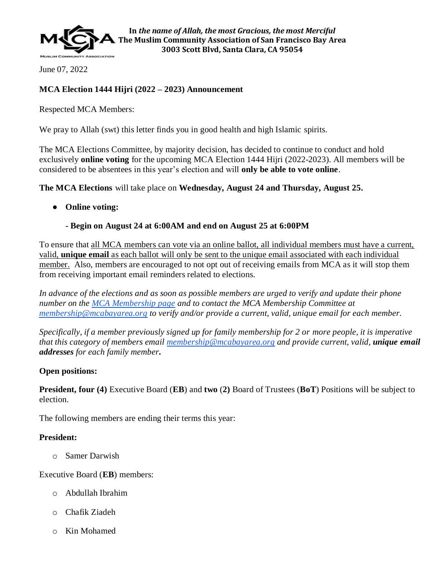

June 07, 2022

# **MCA Election 1444 Hijri (2022 – 2023) Announcement**

Respected MCA Members:

We pray to Allah (swt) this letter finds you in good health and high Islamic spirits.

The MCA Elections Committee, by majority decision, has decided to continue to conduct and hold exclusively **online voting** for the upcoming MCA Election 1444 Hijri (2022-2023). All members will be considered to be absentees in this year's election and will **only be able to vote online**.

**The MCA Elections** will take place on **Wednesday, August 24 and Thursday, August 25.**

● **Online voting:**

## **- Begin on August 24 at 6:00AM and end on August 25 at 6:00PM**

To ensure that all MCA members can vote via an online ballot, all individual members must have a current, valid, **unique email** as each ballot will only be sent to the unique email associated with each individual member. Also, members are encouraged to not opt out of receiving emails from MCA as it will stop them from receiving important email reminders related to elections.

*In advance of the elections and as soon as possible members are urged to verify and update their phone number on the [MCA Membership page](https://www.mcabayarea.org/index.php?option=com_content&view=article&id=965&Itemid=546) and to contact the MCA Membership Committee at [membership@mcabayarea.org](mailto:membership@mcabayarea.org) to verify and/or provide a current, valid, unique email for each member.* 

*Specifically, if a member previously signed up for family membership for 2 or more people, it is imperative that this category of members email [membership@mcabayarea.org](mailto:membership@mcabayarea.org) and provide current, valid, unique email addresses for each family member.* 

## **Open positions:**

**President, four (4)** Executive Board (**EB**) and **two** (**2)** Board of Trustees (**BoT**) Positions will be subject to election.

The following members are ending their terms this year:

## **President:**

o Samer Darwish

Executive Board (**EB**) members:

- o Abdullah Ibrahim
- o Chafik Ziadeh
- o Kin Mohamed